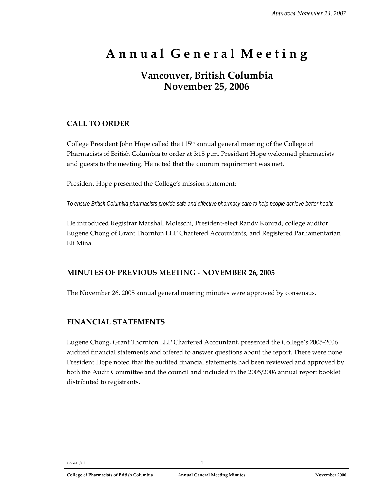# **A n n u a l G e n e r a l M e e t i n g**

## **Vancouver, British Columbia November 25, 2006**

## **CALL TO ORDER**

College President John Hope called the  $115<sup>th</sup>$  annual general meeting of the College of Pharmacists of British Columbia to order at 3:15 p.m. President Hope welcomed pharmacists and guests to the meeting. He noted that the quorum requirement was met.

President Hope presented the College's mission statement:

*To ensure British Columbia pharmacists provide safe and effective pharmacy care to help people achieve better health.* 

He introduced Registrar Marshall Moleschi, President‐elect Randy Konrad, college auditor Eugene Chong of Grant Thornton LLP Chartered Accountants, and Registered Parliamentarian Eli Mina.

#### **MINUTES OF PREVIOUS MEETING ‐ NOVEMBER 26, 2005**

The November 26, 2005 annual general meeting minutes were approved by consensus.

#### **FINANCIAL STATEMENTS**

Eugene Chong, Grant Thornton LLP Chartered Accountant, presented the College's 2005‐2006 audited financial statements and offered to answer questions about the report. There were none. President Hope noted that the audited financial statements had been reviewed and approved by both the Audit Committee and the council and included in the 2005/2006 annual report booklet distributed to registrants.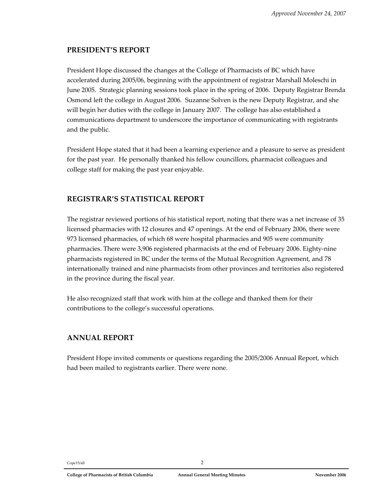#### **PRESIDENT'S REPORT**

President Hope discussed the changes at the College of Pharmacists of BC which have accelerated during 2005/06, beginning with the appointment of registrar Marshall Moleschi in June 2005. Strategic planning sessions took place in the spring of 2006. Deputy Registrar Brenda Osmond left the college in August 2006. Suzanne Solven is the new Deputy Registrar, and she will begin her duties with the college in January 2007. The college has also established a communications department to underscore the importance of communicating with registrants and the public.

President Hope stated that it had been a learning experience and a pleasure to serve as president for the past year. He personally thanked his fellow councillors, pharmacist colleagues and college staff for making the past year enjoyable.

## **REGISTRAR'S STATISTICAL REPORT**

The registrar reviewed portions of his statistical report, noting that there was a net increase of 35 licensed pharmacies with 12 closures and 47 openings. At the end of February 2006, there were 973 licensed pharmacies, of which 68 were hospital pharmacies and 905 were community pharmacies. There were 3,906 registered pharmacists at the end of February 2006. Eighty‐nine pharmacists registered in BC under the terms of the Mutual Recognition Agreement, and 78 internationally trained and nine pharmacists from other provinces and territories also registered in the province during the fiscal year.

He also recognized staff that work with him at the college and thanked them for their contributions to the college's successful operations.

## **ANNUAL REPORT**

President Hope invited comments or questions regarding the 2005/2006 Annual Report, which had been mailed to registrants earlier. There were none.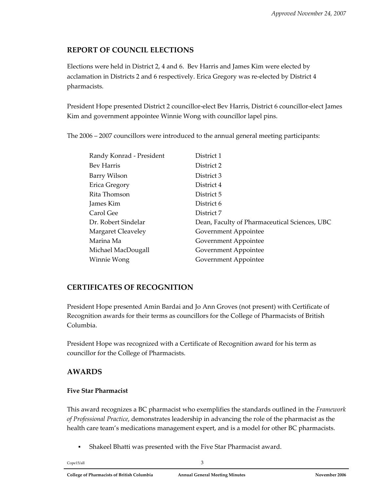## **REPORT OF COUNCIL ELECTIONS**

Elections were held in District 2, 4 and 6. Bev Harris and James Kim were elected by acclamation in Districts 2 and 6 respectively. Erica Gregory was re‐elected by District 4 pharmacists.

President Hope presented District 2 councillor‐elect Bev Harris, District 6 councillor‐elect James Kim and government appointee Winnie Wong with councillor lapel pins.

The 2006 – 2007 councillors were introduced to the annual general meeting participants:

| Randy Konrad - President | District 1                                    |
|--------------------------|-----------------------------------------------|
| Bev Harris               | District 2                                    |
| Barry Wilson             | District 3                                    |
| Erica Gregory            | District 4                                    |
| Rita Thomson             | District 5                                    |
| James Kim                | District 6                                    |
| Carol Gee                | District 7                                    |
| Dr. Robert Sindelar      | Dean, Faculty of Pharmaceutical Sciences, UBC |
| Margaret Cleaveley       | Government Appointee                          |
| Marina Ma                | Government Appointee                          |
| Michael MacDougall       | Government Appointee                          |
| Winnie Wong              | Government Appointee                          |

## **CERTIFICATES OF RECOGNITION**

President Hope presented Amin Bardai and Jo Ann Groves (not present) with Certificate of Recognition awards for their terms as councillors for the College of Pharmacists of British Columbia.

President Hope was recognized with a Certificate of Recognition award for his term as councillor for the College of Pharmacists.

## **AWARDS**

#### **Five Star Pharmacist**

This award recognizes a BC pharmacist who exemplifies the standards outlined in the *Framework of Professional Practice*, demonstrates leadership in advancing the role of the pharmacist as the health care team's medications management expert, and is a model for other BC pharmacists.

Shakeel Bhatti was presented with the Five Star Pharmacist award.

Cope15/all 3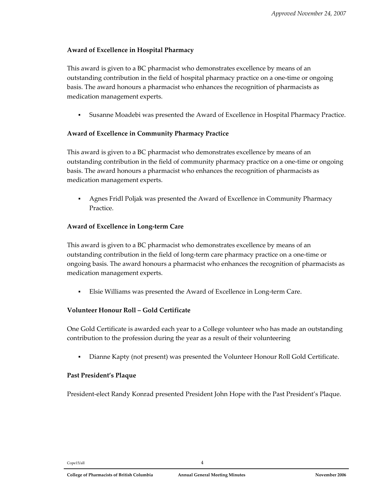#### **Award of Excellence in Hospital Pharmacy**

This award is given to a BC pharmacist who demonstrates excellence by means of an outstanding contribution in the field of hospital pharmacy practice on a one‐time or ongoing basis. The award honours a pharmacist who enhances the recognition of pharmacists as medication management experts.

Susanne Moadebi was presented the Award of Excellence in Hospital Pharmacy Practice.

#### **Award of Excellence in Community Pharmacy Practice**

This award is given to a BC pharmacist who demonstrates excellence by means of an outstanding contribution in the field of community pharmacy practice on a one‐time or ongoing basis. The award honours a pharmacist who enhances the recognition of pharmacists as medication management experts.

 Agnes Fridl Poljak was presented the Award of Excellence in Community Pharmacy Practice.

#### **Award of Excellence in Long‐term Care**

This award is given to a BC pharmacist who demonstrates excellence by means of an outstanding contribution in the field of long‐term care pharmacy practice on a one‐time or ongoing basis. The award honours a pharmacist who enhances the recognition of pharmacists as medication management experts.

Elsie Williams was presented the Award of Excellence in Long‐term Care.

#### **Volunteer Honour Roll – Gold Certificate**

One Gold Certificate is awarded each year to a College volunteer who has made an outstanding contribution to the profession during the year as a result of their volunteering

Dianne Kapty (not present) was presented the Volunteer Honour Roll Gold Certificate.

#### **Past President's Plaque**

President‐elect Randy Konrad presented President John Hope with the Past President's Plaque.